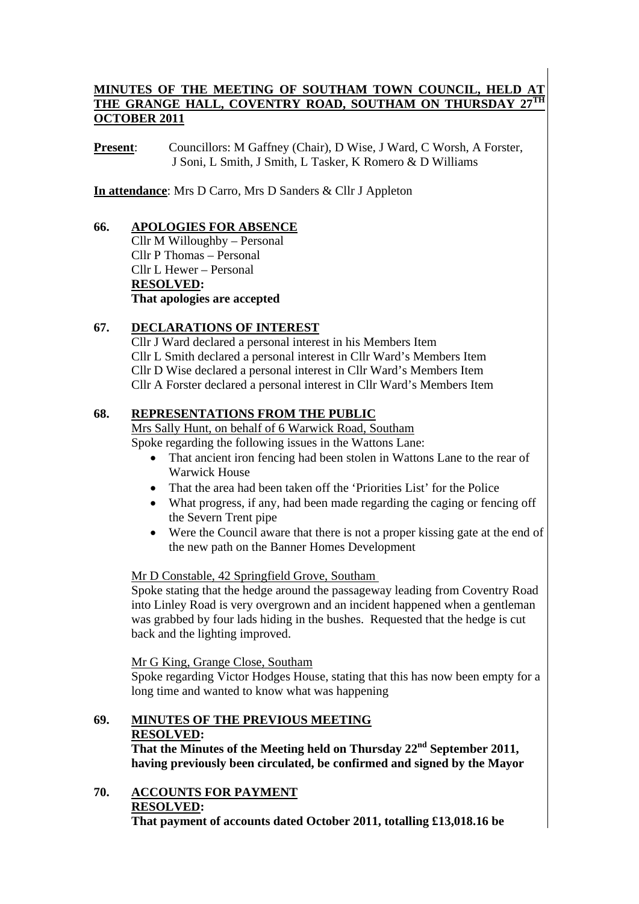#### MINUTES OF THE MEETING OF SOUTHAM TOWN COUNCIL, HELD THE GRANGE HALL, COVENTRY ROAD, SOUTHAM ON THURSDAY **OCTOBER 2011**

**Present**: Councillors: M Gaffney (Chair), D Wise, J Ward, C Worsh, A Forster, J Soni, L Smith, J Smith, L Tasker, K Romero & D Williams

**In attendance**: Mrs D Carro, Mrs D Sanders & Cllr J Appleton

#### **66. APOLOGIES FOR ABSENCE** Cllr M Willoughby – Personal Cllr P Thomas – Personal Cllr L Hewer – Personal **RESOLVED: That apologies are accepted**

#### **67. DECLARATIONS OF INTEREST**

Cllr J Ward declared a personal interest in his Members Item Cllr L Smith declared a personal interest in Cllr Ward's Members Item Cllr D Wise declared a personal interest in Cllr Ward's Members Item Cllr A Forster declared a personal interest in Cllr Ward's Members Item

#### **68. REPRESENTATIONS FROM THE PUBLIC**

Mrs Sally Hunt, on behalf of 6 Warwick Road, Southam

Spoke regarding the following issues in the Wattons Lane:

- That ancient iron fencing had been stolen in Wattons Lane to the rear of Warwick House
- That the area had been taken off the 'Priorities List' for the Police
- What progress, if any, had been made regarding the caging or fencing off the Severn Trent pipe
- Were the Council aware that there is not a proper kissing gate at the end of the new path on the Banner Homes Development

#### Mr D Constable, 42 Springfield Grove, Southam

Spoke stating that the hedge around the passageway leading from Coventry Road into Linley Road is very overgrown and an incident happened when a gentleman was grabbed by four lads hiding in the bushes. Requested that the hedge is cut back and the lighting improved.

Mr G King, Grange Close, Southam

Spoke regarding Victor Hodges House, stating that this has now been empty for a long time and wanted to know what was happening

#### **69. MINUTES OF THE PREVIOUS MEETING RESOLVED:**

**That the Minutes of the Meeting held on Thursday 22nd September 2011, having previously been circulated, be confirmed and signed by the Mayor** 

**70. ACCOUNTS FOR PAYMENT RESOLVED: That payment of accounts dated October 2011, totalling £13,018.16 be**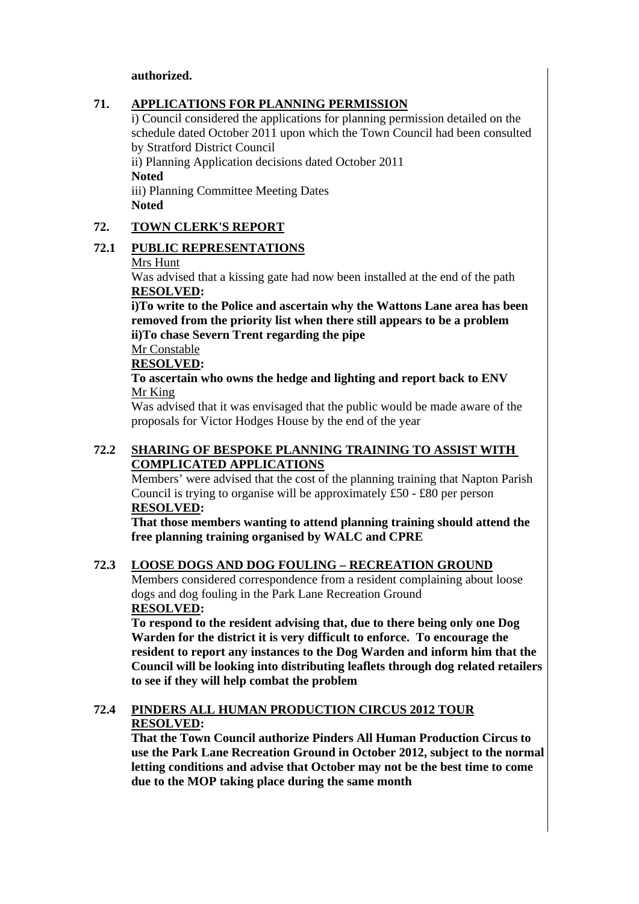#### **authorized.**

#### **71. APPLICATIONS FOR PLANNING PERMISSION**

i) Council considered the applications for planning permission detailed on the schedule dated October 2011 upon which the Town Council had been consulted by Stratford District Council

ii) Planning Application decisions dated October 2011 **Noted**  iii) Planning Committee Meeting Dates

**Noted** 

#### **72. TOWN CLERK'S REPORT**

#### **72.1 PUBLIC REPRESENTATIONS**

#### Mrs Hunt

Was advised that a kissing gate had now been installed at the end of the path **RESOLVED:** 

**i)To write to the Police and ascertain why the Wattons Lane area has been removed from the priority list when there still appears to be a problem ii)To chase Severn Trent regarding the pipe** 

Mr Constable

**RESOLVED:** 

**To ascertain who owns the hedge and lighting and report back to ENV**  Mr King

Was advised that it was envisaged that the public would be made aware of the proposals for Victor Hodges House by the end of the year

#### **72.2 SHARING OF BESPOKE PLANNING TRAINING TO ASSIST WITH COMPLICATED APPLICATIONS**

Members' were advised that the cost of the planning training that Napton Parish Council is trying to organise will be approximately £50 - £80 per person **RESOLVED:** 

**That those members wanting to attend planning training should attend the free planning training organised by WALC and CPRE** 

#### **72.3 LOOSE DOGS AND DOG FOULING – RECREATION GROUND**

Members considered correspondence from a resident complaining about loose dogs and dog fouling in the Park Lane Recreation Ground **RESOLVED:** 

**To respond to the resident advising that, due to there being only one Dog Warden for the district it is very difficult to enforce. To encourage the resident to report any instances to the Dog Warden and inform him that the Council will be looking into distributing leaflets through dog related retailers to see if they will help combat the problem** 

#### **72.4 PINDERS ALL HUMAN PRODUCTION CIRCUS 2012 TOUR RESOLVED:**

**That the Town Council authorize Pinders All Human Production Circus to use the Park Lane Recreation Ground in October 2012, subject to the normal letting conditions and advise that October may not be the best time to come due to the MOP taking place during the same month**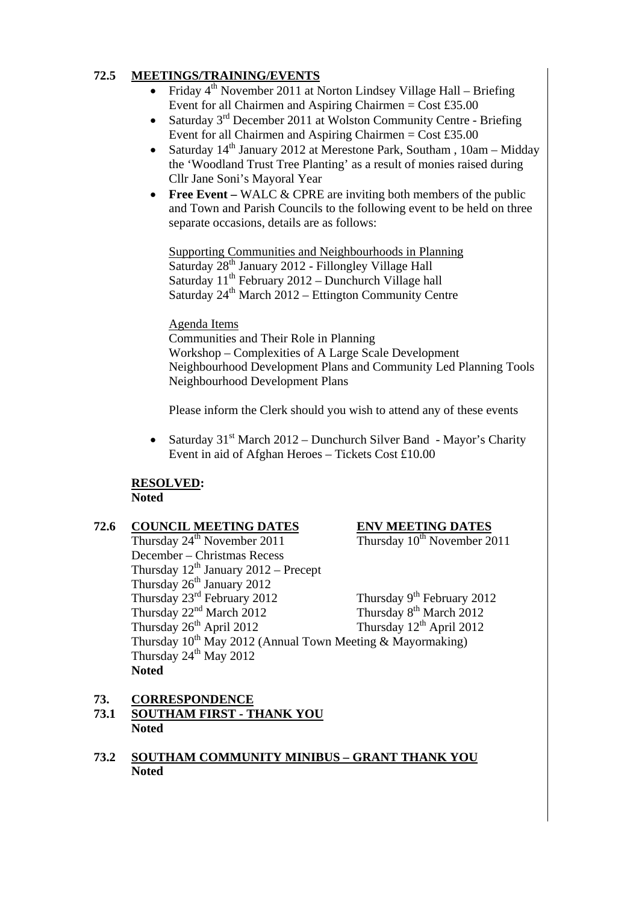#### **72.5 MEETINGS/TRAINING/EVENTS**

- Friday  $4<sup>th</sup>$  November 2011 at Norton Lindsey Village Hall Briefing Event for all Chairmen and Aspiring Chairmen =  $Cost £35.00$
- Saturday  $3<sup>rd</sup>$  December 2011 at Wolston Community Centre Briefing Event for all Chairmen and Aspiring Chairmen =  $Cost £35.00$
- Saturday  $14<sup>th</sup>$  January 2012 at Merestone Park, Southam, 10am Midday the 'Woodland Trust Tree Planting' as a result of monies raised during Cllr Jane Soni's Mayoral Year
- **Free Event** WALC & CPRE are inviting both members of the public and Town and Parish Councils to the following event to be held on three separate occasions, details are as follows:

Supporting Communities and Neighbourhoods in Planning Saturday 28<sup>th</sup> January 2012 - Fillongley Village Hall Saturday  $11^{th}$  February 2012 – Dunchurch Village hall Saturday  $24<sup>th</sup>$  March  $2012$  – Ettington Community Centre

#### Agenda Items

Communities and Their Role in Planning Workshop – Complexities of A Large Scale Development Neighbourhood Development Plans and Community Led Planning Tools Neighbourhood Development Plans

Please inform the Clerk should you wish to attend any of these events

• Saturday  $31<sup>st</sup>$  March 2012 – Dunchurch Silver Band - Mayor's Charity Event in aid of Afghan Heroes – Tickets Cost £10.00

#### **RESOLVED: Noted**

# **72.6** COUNCIL MEETING DATES<br>Thursday  $24^{\text{th}}$  November 2011 Thursday  $10^{\text{th}}$  November 2011

Thursday  $24<sup>th</sup>$  November 2011 December – Christmas Recess Thursday  $12^{th}$  January 2012 – Precept Thursday 26<sup>th</sup> January 2012 Thursday  $23^{\text{rd}}$  February 2012 Thursday  $9^{\text{th}}$  February 2012 Thursday  $22<sup>nd</sup>$  March 2012 Thursday  $8<sup>th</sup>$  March 2012 Thursday 26<sup>th</sup> April 2012 Thursday 12<sup>th</sup> April 2012 Thursday  $10^{th}$  May 2012 (Annual Town Meeting & Mayormaking) Thursday 24<sup>th</sup> May 2012 **Noted** 

**73. CORRESPONDENCE**

- **73.1 SOUTHAM FIRST THANK YOU Noted**
- **73.2 SOUTHAM COMMUNITY MINIBUS GRANT THANK YOU Noted**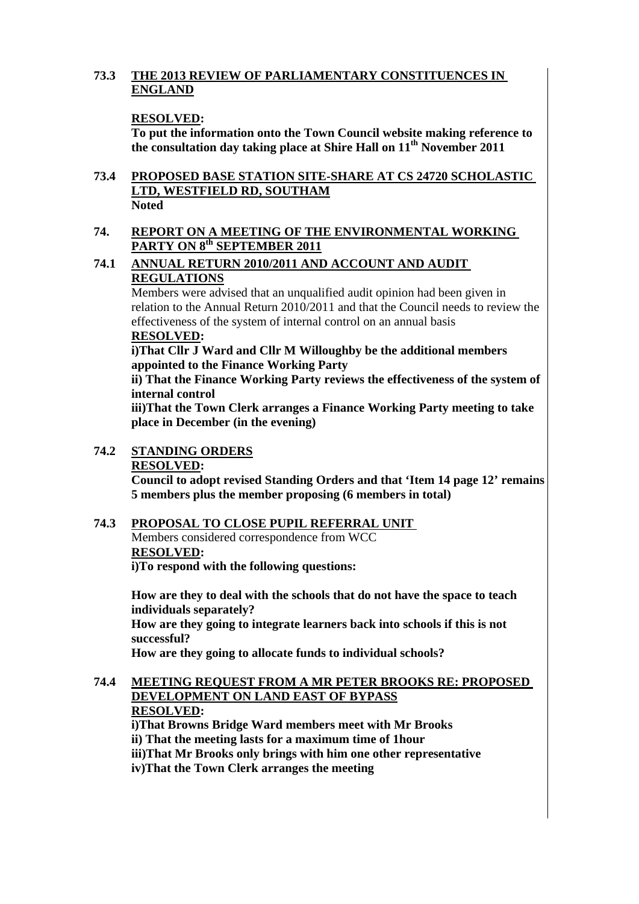#### **73.3 THE 2013 REVIEW OF PARLIAMENTARY CONSTITUENCES IN ENGLAND**

#### **RESOLVED:**

**To put the information onto the Town Council website making reference to**  the consultation day taking place at Shire Hall on  $11<sup>th</sup>$  November 2011

#### **73.4 PROPOSED BASE STATION SITE-SHARE AT CS 24720 SCHOLASTIC LTD, WESTFIELD RD, SOUTHAM Noted**

#### **74. REPORT ON A MEETING OF THE ENVIRONMENTAL WORKING PARTY ON 8th SEPTEMBER 2011**

#### **74.1 ANNUAL RETURN 2010/2011 AND ACCOUNT AND AUDIT REGULATIONS**

Members were advised that an unqualified audit opinion had been given in relation to the Annual Return 2010/2011 and that the Council needs to review the effectiveness of the system of internal control on an annual basis **RESOLVED:** 

#### **i)That Cllr J Ward and Cllr M Willoughby be the additional members appointed to the Finance Working Party**

**ii) That the Finance Working Party reviews the effectiveness of the system of internal control** 

**iii)That the Town Clerk arranges a Finance Working Party meeting to take place in December (in the evening)** 

#### **74.2 STANDING ORDERS RESOLVED: Council to adopt revised Standing Orders and that 'Item 14 page 12' remains 5 members plus the member proposing (6 members in total)**

#### **74.3 PROPOSAL TO CLOSE PUPIL REFERRAL UNIT**

Members considered correspondence from WCC **RESOLVED: i)To respond with the following questions:** 

**How are they to deal with the schools that do not have the space to teach individuals separately? How are they going to integrate learners back into schools if this is not successful? How are they going to allocate funds to individual schools?** 

#### **74.4 MEETING REQUEST FROM A MR PETER BROOKS RE: PROPOSED DEVELOPMENT ON LAND EAST OF BYPASS RESOLVED: i)That Browns Bridge Ward members meet with Mr Brooks**

**ii) That the meeting lasts for a maximum time of 1hour** 

**iii)That Mr Brooks only brings with him one other representative** 

**iv)That the Town Clerk arranges the meeting**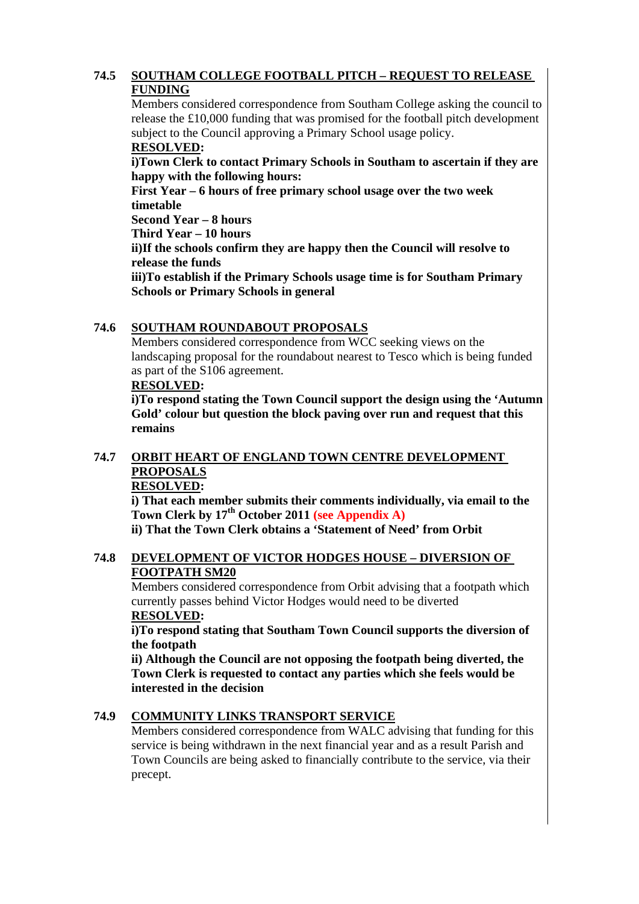#### **74.5 SOUTHAM COLLEGE FOOTBALL PITCH – REQUEST TO RELEASE FUNDING**

Members considered correspondence from Southam College asking the council to release the £10,000 funding that was promised for the football pitch development subject to the Council approving a Primary School usage policy.

### **RESOLVED:**

**i)Town Clerk to contact Primary Schools in Southam to ascertain if they are happy with the following hours:** 

**First Year – 6 hours of free primary school usage over the two week timetable** 

**Second Year – 8 hours** 

**Third Year – 10 hours** 

**ii)If the schools confirm they are happy then the Council will resolve to release the funds** 

**iii)To establish if the Primary Schools usage time is for Southam Primary Schools or Primary Schools in general** 

#### **74.6 SOUTHAM ROUNDABOUT PROPOSALS**

Members considered correspondence from WCC seeking views on the landscaping proposal for the roundabout nearest to Tesco which is being funded as part of the S106 agreement.

#### **RESOLVED:**

**i)To respond stating the Town Council support the design using the 'Autumn Gold' colour but question the block paving over run and request that this remains** 

### **74.7 ORBIT HEART OF ENGLAND TOWN CENTRE DEVELOPMENT PROPOSALS**

#### **RESOLVED:**

**i) That each member submits their comments individually, via email to the Town Clerk by 17th October 2011 (see Appendix A)**

**ii) That the Town Clerk obtains a 'Statement of Need' from Orbit** 

#### **74.8 DEVELOPMENT OF VICTOR HODGES HOUSE – DIVERSION OF FOOTPATH SM20**

Members considered correspondence from Orbit advising that a footpath which currently passes behind Victor Hodges would need to be diverted **RESOLVED:** 

**i)To respond stating that Southam Town Council supports the diversion of the footpath** 

**ii) Although the Council are not opposing the footpath being diverted, the Town Clerk is requested to contact any parties which she feels would be interested in the decision** 

#### **74.9 COMMUNITY LINKS TRANSPORT SERVICE**

Members considered correspondence from WALC advising that funding for this service is being withdrawn in the next financial year and as a result Parish and Town Councils are being asked to financially contribute to the service, via their precept.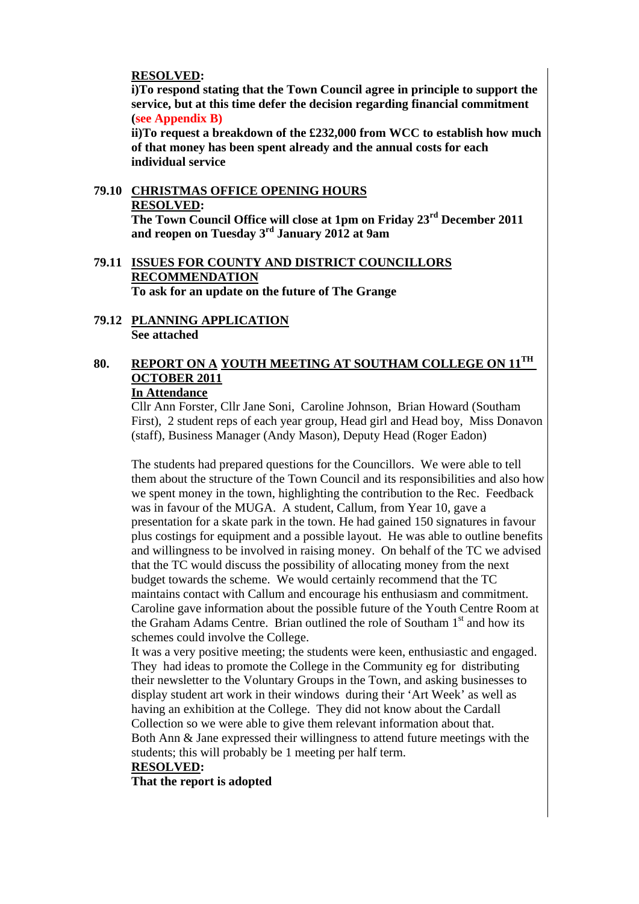#### **RESOLVED:**

 **i)To respond stating that the Town Council agree in principle to support the service, but at this time defer the decision regarding financial commitment (see Appendix B)** 

 **ii)To request a breakdown of the £232,000 from WCC to establish how much of that money has been spent already and the annual costs for each individual service**

#### **79.10 CHRISTMAS OFFICE OPENING HOURS RESOLVED: The Town Council Office will close at 1pm on Friday 23rd December 2011 and reopen on Tuesday 3rd January 2012 at 9am**

#### **79.11 ISSUES FOR COUNTY AND DISTRICT COUNCILLORS RECOMMENDATION To ask for an update on the future of The Grange**

**79.12 PLANNING APPLICATION See attached** 

## **80. REPORT ON A YOUTH MEETING AT SOUTHAM COLLEGE ON 11TH OCTOBER 2011**

#### **In Attendance**

Cllr Ann Forster, Cllr Jane Soni, Caroline Johnson, Brian Howard (Southam First), 2 student reps of each year group, Head girl and Head boy, Miss Donavon (staff), Business Manager (Andy Mason), Deputy Head (Roger Eadon)

The students had prepared questions for the Councillors. We were able to tell them about the structure of the Town Council and its responsibilities and also how we spent money in the town, highlighting the contribution to the Rec. Feedback was in favour of the MUGA. A student, Callum, from Year 10, gave a presentation for a skate park in the town. He had gained 150 signatures in favour plus costings for equipment and a possible layout. He was able to outline benefits and willingness to be involved in raising money. On behalf of the TC we advised that the TC would discuss the possibility of allocating money from the next budget towards the scheme. We would certainly recommend that the TC maintains contact with Callum and encourage his enthusiasm and commitment. Caroline gave information about the possible future of the Youth Centre Room at the Graham Adams Centre. Brian outlined the role of Southam  $1<sup>st</sup>$  and how its schemes could involve the College.

It was a very positive meeting; the students were keen, enthusiastic and engaged. They had ideas to promote the College in the Community eg for distributing their newsletter to the Voluntary Groups in the Town, and asking businesses to display student art work in their windows during their 'Art Week' as well as having an exhibition at the College. They did not know about the Cardall Collection so we were able to give them relevant information about that. Both Ann & Jane expressed their willingness to attend future meetings with the students; this will probably be 1 meeting per half term.

#### **RESOLVED:**

 **That the report is adopted**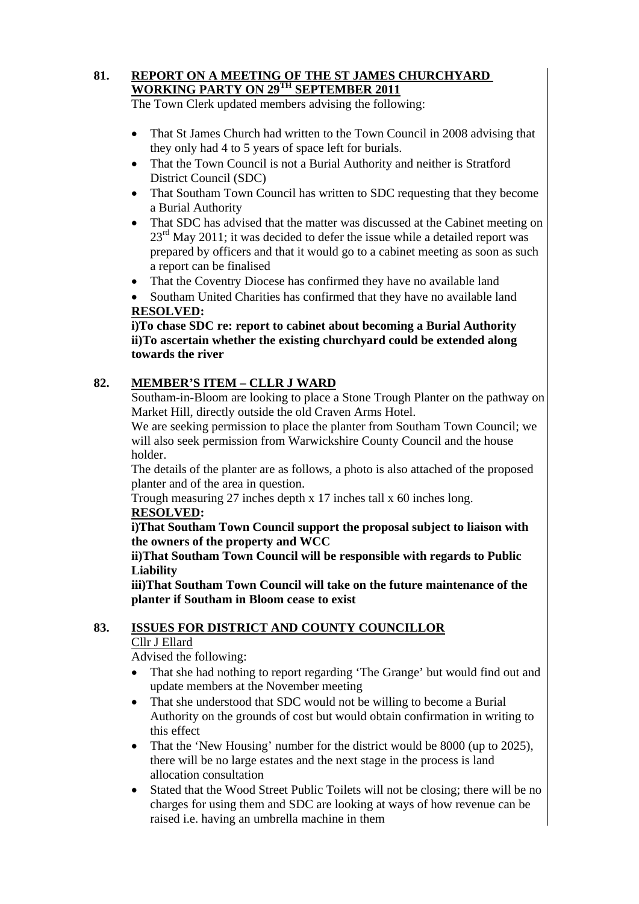#### **81. REPORT ON A MEETING OF THE ST JAMES CHURCHYARD WORKING PARTY ON 29TH SEPTEMBER 2011**

The Town Clerk updated members advising the following:

- That St James Church had written to the Town Council in 2008 advising that they only had 4 to 5 years of space left for burials.
- That the Town Council is not a Burial Authority and neither is Stratford District Council (SDC)
- That Southam Town Council has written to SDC requesting that they become a Burial Authority
- That SDC has advised that the matter was discussed at the Cabinet meeting on  $23<sup>rd</sup>$  May 2011; it was decided to defer the issue while a detailed report was prepared by officers and that it would go to a cabinet meeting as soon as such a report can be finalised
- That the Coventry Diocese has confirmed they have no available land

• Southam United Charities has confirmed that they have no available land **RESOLVED:** 

**i)To chase SDC re: report to cabinet about becoming a Burial Authority ii)To ascertain whether the existing churchyard could be extended along towards the river** 

#### **82. MEMBER'S ITEM – CLLR J WARD**

Southam-in-Bloom are looking to place a Stone Trough Planter on the pathway on Market Hill, directly outside the old Craven Arms Hotel.

We are seeking permission to place the planter from Southam Town Council; we will also seek permission from Warwickshire County Council and the house holder.

The details of the planter are as follows, a photo is also attached of the proposed planter and of the area in question.

Trough measuring 27 inches depth x 17 inches tall x 60 inches long. **RESOLVED:** 

 **i)That Southam Town Council support the proposal subject to liaison with the owners of the property and WCC** 

#### **ii)That Southam Town Council will be responsible with regards to Public Liability**

 **iii)That Southam Town Council will take on the future maintenance of the planter if Southam in Bloom cease to exist** 

#### **83. ISSUES FOR DISTRICT AND COUNTY COUNCILLOR** Cllr J Ellard

Advised the following:

- That she had nothing to report regarding 'The Grange' but would find out and update members at the November meeting
- That she understood that SDC would not be willing to become a Burial Authority on the grounds of cost but would obtain confirmation in writing to this effect
- That the 'New Housing' number for the district would be 8000 (up to 2025), there will be no large estates and the next stage in the process is land allocation consultation
- Stated that the Wood Street Public Toilets will not be closing; there will be no charges for using them and SDC are looking at ways of how revenue can be raised i.e. having an umbrella machine in them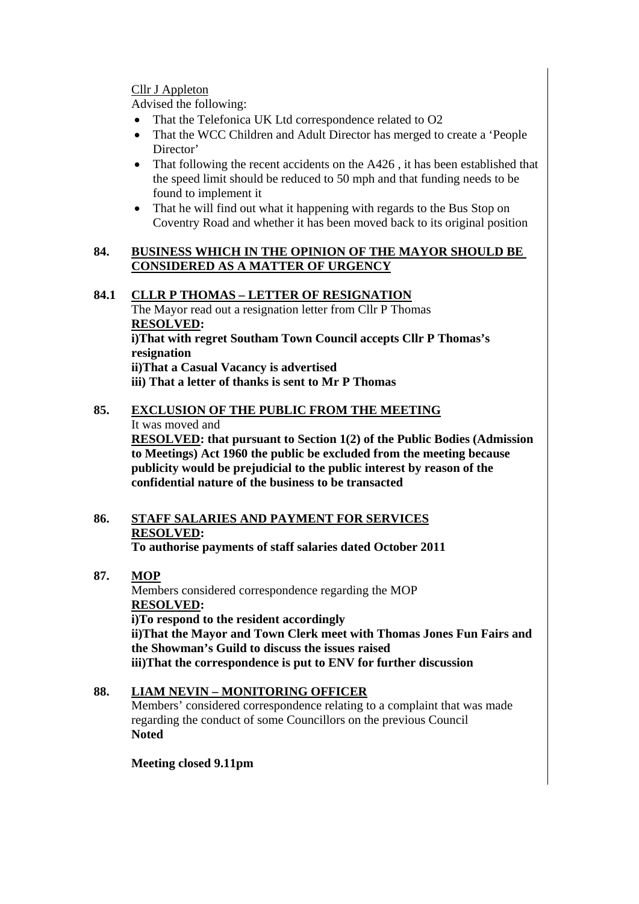Cllr J Appleton

Advised the following:

- That the Telefonica UK Ltd correspondence related to O2
- That the WCC Children and Adult Director has merged to create a 'People' Director'
- That following the recent accidents on the A426, it has been established that the speed limit should be reduced to 50 mph and that funding needs to be found to implement it
- That he will find out what it happening with regards to the Bus Stop on Coventry Road and whether it has been moved back to its original position

#### **84. BUSINESS WHICH IN THE OPINION OF THE MAYOR SHOULD BE CONSIDERED AS A MATTER OF URGENCY**

#### **84.1 CLLR P THOMAS – LETTER OF RESIGNATION**

The Mayor read out a resignation letter from Cllr P Thomas  **RESOLVED: i)That with regret Southam Town Council accepts Cllr P Thomas's resignation ii)That a Casual Vacancy is advertised iii) That a letter of thanks is sent to Mr P Thomas** 

### **85. EXCLUSION OF THE PUBLIC FROM THE MEETING**

It was moved and

**RESOLVED: that pursuant to Section 1(2) of the Public Bodies (Admission to Meetings) Act 1960 the public be excluded from the meeting because publicity would be prejudicial to the public interest by reason of the confidential nature of the business to be transacted** 

#### **86. STAFF SALARIES AND PAYMENT FOR SERVICES RESOLVED: To authorise payments of staff salaries dated October 2011**

# **87. MOP**

Members considered correspondence regarding the MOP **RESOLVED: i)To respond to the resident accordingly ii)That the Mayor and Town Clerk meet with Thomas Jones Fun Fairs and the Showman's Guild to discuss the issues raised iii)That the correspondence is put to ENV for further discussion** 

# **88. LIAM NEVIN – MONITORING OFFICER**

Members' considered correspondence relating to a complaint that was made regarding the conduct of some Councillors on the previous Council **Noted** 

#### **Meeting closed 9.11pm**